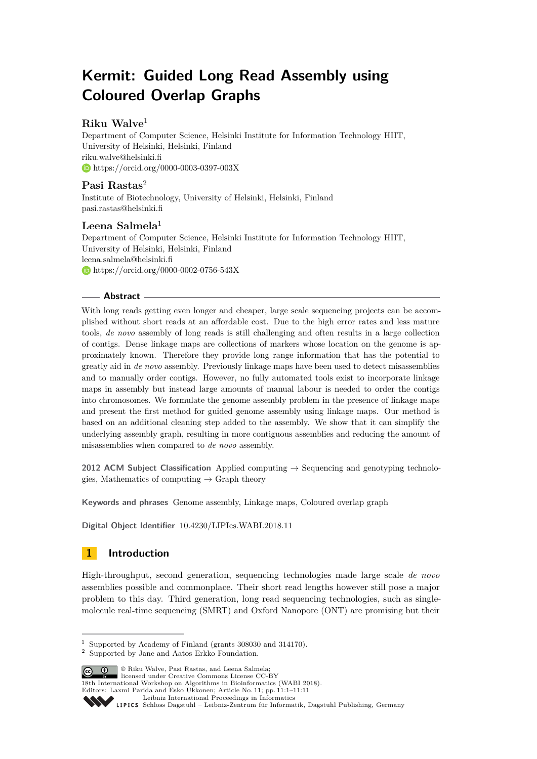# **Kermit: Guided Long Read Assembly using Coloured Overlap Graphs**

# **Riku Walve**<sup>1</sup>

Department of Computer Science, Helsinki Institute for Information Technology HIIT, University of Helsinki, Helsinki, Finland [riku.walve@helsinki.fi](mailto:riku.walve@helsinki.fi) <https://orcid.org/0000-0003-0397-003X>

# **Pasi Rastas**<sup>2</sup>

Institute of Biotechnology, University of Helsinki, Helsinki, Finland [pasi.rastas@helsinki.fi](mailto:pasi.rastas@helsinki.fi)

# **Leena Salmela**<sup>1</sup>

Department of Computer Science, Helsinki Institute for Information Technology HIIT, University of Helsinki, Helsinki, Finland [leena.salmela@helsinki.fi](mailto:leena.salmela@helsinki.fi) <https://orcid.org/0000-0002-0756-543X>

# **Abstract**

With long reads getting even longer and cheaper, large scale sequencing projects can be accomplished without short reads at an affordable cost. Due to the high error rates and less mature tools, *de novo* assembly of long reads is still challenging and often results in a large collection of contigs. Dense linkage maps are collections of markers whose location on the genome is approximately known. Therefore they provide long range information that has the potential to greatly aid in *de novo* assembly. Previously linkage maps have been used to detect misassemblies and to manually order contigs. However, no fully automated tools exist to incorporate linkage maps in assembly but instead large amounts of manual labour is needed to order the contigs into chromosomes. We formulate the genome assembly problem in the presence of linkage maps and present the first method for guided genome assembly using linkage maps. Our method is based on an additional cleaning step added to the assembly. We show that it can simplify the underlying assembly graph, resulting in more contiguous assemblies and reducing the amount of misassemblies when compared to *de novo* assembly.

**2012 ACM Subject Classification** Applied computing → Sequencing and genotyping technologies, Mathematics of computing  $\rightarrow$  Graph theory

**Keywords and phrases** Genome assembly, Linkage maps, Coloured overlap graph

**Digital Object Identifier** [10.4230/LIPIcs.WABI.2018.11](http://dx.doi.org/10.4230/LIPIcs.WABI.2018.11)

# **1 Introduction**

High-throughput, second generation, sequencing technologies made large scale *de novo* assemblies possible and commonplace. Their short read lengths however still pose a major problem to this day. Third generation, long read sequencing technologies, such as singlemolecule real-time sequencing (SMRT) and Oxford Nanopore (ONT) are promising but their

© Riku Walve, Pasi Rastas, and Leena Salmela; licensed under Creative Commons License CC-BY

18th International Workshop on Algorithms in Bioinformatics (WABI 2018).

Editors: Laxmi Parida and Esko Ukkonen; Article No. 11; pp. 11:1–11[:11](#page-10-0)

<sup>1</sup> Supported by Academy of Finland (grants 308030 and 314170).

<sup>2</sup> Supported by Jane and Aatos Erkko Foundation.

[Leibniz International Proceedings in Informatics](http://www.dagstuhl.de/lipics/)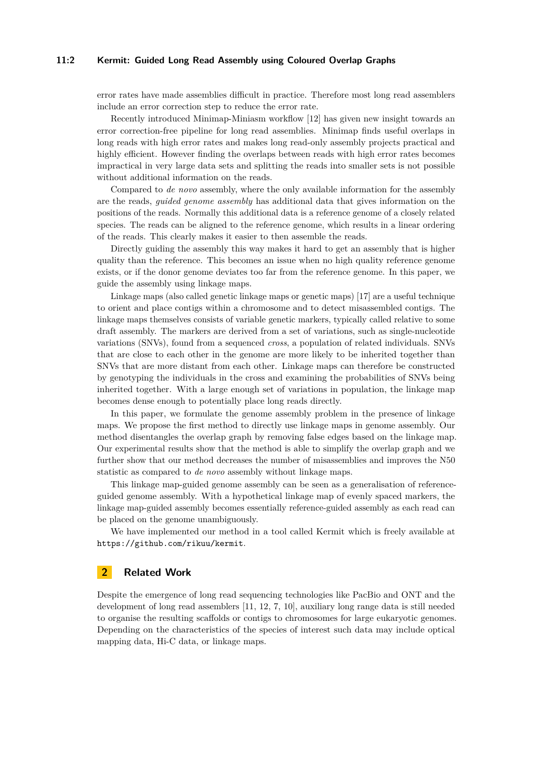#### **11:2 Kermit: Guided Long Read Assembly using Coloured Overlap Graphs**

error rates have made assemblies difficult in practice. Therefore most long read assemblers include an error correction step to reduce the error rate.

Recently introduced Minimap-Miniasm workflow [\[12\]](#page-10-1) has given new insight towards an error correction-free pipeline for long read assemblies. Minimap finds useful overlaps in long reads with high error rates and makes long read-only assembly projects practical and highly efficient. However finding the overlaps between reads with high error rates becomes impractical in very large data sets and splitting the reads into smaller sets is not possible without additional information on the reads.

Compared to *de novo* assembly, where the only available information for the assembly are the reads, *guided genome assembly* has additional data that gives information on the positions of the reads. Normally this additional data is a reference genome of a closely related species. The reads can be aligned to the reference genome, which results in a linear ordering of the reads. This clearly makes it easier to then assemble the reads.

Directly guiding the assembly this way makes it hard to get an assembly that is higher quality than the reference. This becomes an issue when no high quality reference genome exists, or if the donor genome deviates too far from the reference genome. In this paper, we guide the assembly using linkage maps.

Linkage maps (also called genetic linkage maps or genetic maps) [\[17\]](#page-10-2) are a useful technique to orient and place contigs within a chromosome and to detect misassembled contigs. The linkage maps themselves consists of variable genetic markers, typically called relative to some draft assembly. The markers are derived from a set of variations, such as single-nucleotide variations (SNVs), found from a sequenced *cross*, a population of related individuals. SNVs that are close to each other in the genome are more likely to be inherited together than SNVs that are more distant from each other. Linkage maps can therefore be constructed by genotyping the individuals in the cross and examining the probabilities of SNVs being inherited together. With a large enough set of variations in population, the linkage map becomes dense enough to potentially place long reads directly.

In this paper, we formulate the genome assembly problem in the presence of linkage maps. We propose the first method to directly use linkage maps in genome assembly. Our method disentangles the overlap graph by removing false edges based on the linkage map. Our experimental results show that the method is able to simplify the overlap graph and we further show that our method decreases the number of misassemblies and improves the N50 statistic as compared to *de novo* assembly without linkage maps.

This linkage map-guided genome assembly can be seen as a generalisation of referenceguided genome assembly. With a hypothetical linkage map of evenly spaced markers, the linkage map-guided assembly becomes essentially reference-guided assembly as each read can be placed on the genome unambiguously.

We have implemented our method in a tool called Kermit which is freely available at <https://github.com/rikuu/kermit>.

# **2 Related Work**

Despite the emergence of long read sequencing technologies like PacBio and ONT and the development of long read assemblers [\[11,](#page-10-3) [12,](#page-10-1) [7,](#page-10-4) [10\]](#page-10-5), auxiliary long range data is still needed to organise the resulting scaffolds or contigs to chromosomes for large eukaryotic genomes. Depending on the characteristics of the species of interest such data may include optical mapping data, Hi-C data, or linkage maps.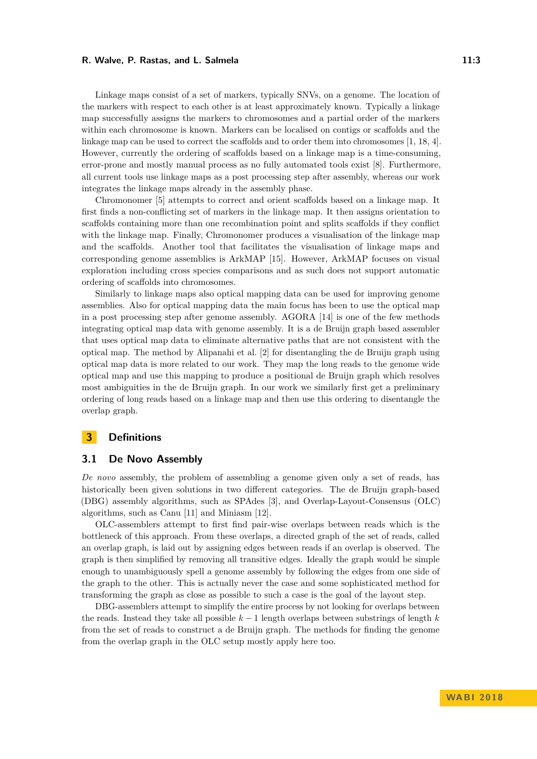#### **R. Walve, P. Rastas, and L. Salmela 11:3**

Linkage maps consist of a set of markers, typically SNVs, on a genome. The location of the markers with respect to each other is at least approximately known. Typically a linkage map successfully assigns the markers to chromosomes and a partial order of the markers within each chromosome is known. Markers can be localised on contigs or scaffolds and the linkage map can be used to correct the scaffolds and to order them into chromosomes [\[1,](#page-10-6) [18,](#page-10-7) [4\]](#page-10-8). However, currently the ordering of scaffolds based on a linkage map is a time-consuming, error-prone and mostly manual process as no fully automated tools exist [\[8\]](#page-10-9). Furthermore, all current tools use linkage maps as a post processing step after assembly, whereas our work integrates the linkage maps already in the assembly phase.

Chromonomer [\[5\]](#page-10-10) attempts to correct and orient scaffolds based on a linkage map. It first finds a non-conflicting set of markers in the linkage map. It then assigns orientation to scaffolds containing more than one recombination point and splits scaffolds if they conflict with the linkage map. Finally, Chromonomer produces a visualisation of the linkage map and the scaffolds. Another tool that facilitates the visualisation of linkage maps and corresponding genome assemblies is ArkMAP [\[15\]](#page-10-11). However, ArkMAP focuses on visual exploration including cross species comparisons and as such does not support automatic ordering of scaffolds into chromosomes.

Similarly to linkage maps also optical mapping data can be used for improving genome assemblies. Also for optical mapping data the main focus has been to use the optical map in a post processing step after genome assembly. AGORA [\[14\]](#page-10-12) is one of the few methods integrating optical map data with genome assembly. It is a de Bruijn graph based assembler that uses optical map data to eliminate alternative paths that are not consistent with the optical map. The method by Alipanahi et al. [\[2\]](#page-10-13) for disentangling the de Bruijn graph using optical map data is more related to our work. They map the long reads to the genome wide optical map and use this mapping to produce a positional de Bruijn graph which resolves most ambiguities in the de Bruijn graph. In our work we similarly first get a preliminary ordering of long reads based on a linkage map and then use this ordering to disentangle the overlap graph.

# **3 Definitions**

## **3.1 De Novo Assembly**

*De novo* assembly, the problem of assembling a genome given only a set of reads, has historically been given solutions in two different categories. The de Bruijn graph-based (DBG) assembly algorithms, such as SPAdes [\[3\]](#page-10-14), and Overlap-Layout-Consensus (OLC) algorithms, such as Canu [\[11\]](#page-10-3) and Miniasm [\[12\]](#page-10-1).

OLC-assemblers attempt to first find pair-wise overlaps between reads which is the bottleneck of this approach. From these overlaps, a directed graph of the set of reads, called an overlap graph, is laid out by assigning edges between reads if an overlap is observed. The graph is then simplified by removing all transitive edges. Ideally the graph would be simple enough to unambiguously spell a genome assembly by following the edges from one side of the graph to the other. This is actually never the case and some sophisticated method for transforming the graph as close as possible to such a case is the goal of the layout step.

DBG-assemblers attempt to simplify the entire process by not looking for overlaps between the reads. Instead they take all possible *k* − 1 length overlaps between substrings of length *k* from the set of reads to construct a de Bruijn graph. The methods for finding the genome from the overlap graph in the OLC setup mostly apply here too.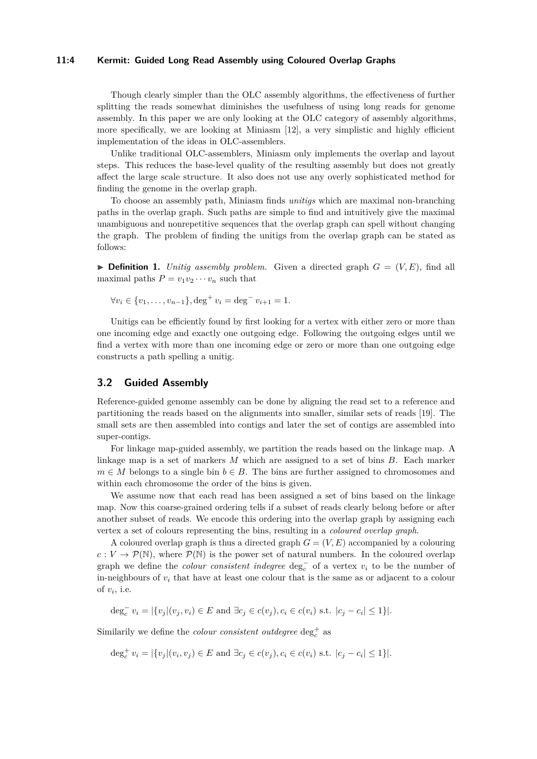#### **11:4 Kermit: Guided Long Read Assembly using Coloured Overlap Graphs**

Though clearly simpler than the OLC assembly algorithms, the effectiveness of further splitting the reads somewhat diminishes the usefulness of using long reads for genome assembly. In this paper we are only looking at the OLC category of assembly algorithms, more specifically, we are looking at Miniasm [\[12\]](#page-10-1), a very simplistic and highly efficient implementation of the ideas in OLC-assemblers.

Unlike traditional OLC-assemblers, Miniasm only implements the overlap and layout steps. This reduces the base-level quality of the resulting assembly but does not greatly affect the large scale structure. It also does not use any overly sophisticated method for finding the genome in the overlap graph.

To choose an assembly path, Miniasm finds *unitigs* which are maximal non-branching paths in the overlap graph. Such paths are simple to find and intuitively give the maximal unambiguous and nonrepetitive sequences that the overlap graph can spell without changing the graph. The problem of finding the unitigs from the overlap graph can be stated as follows:

 $\triangleright$  **Definition 1.** *Unitig assembly problem.* Given a directed graph  $G = (V, E)$ , find all maximal paths  $P = v_1v_2\cdots v_n$  such that

$$
\forall v_i \in \{v_1, \dots, v_{n-1}\}, \deg^+ v_i = \deg^- v_{i+1} = 1.
$$

Unitigs can be efficiently found by first looking for a vertex with either zero or more than one incoming edge and exactly one outgoing edge. Following the outgoing edges until we find a vertex with more than one incoming edge or zero or more than one outgoing edge constructs a path spelling a unitig.

## **3.2 Guided Assembly**

Reference-guided genome assembly can be done by aligning the read set to a reference and partitioning the reads based on the alignments into smaller, similar sets of reads [\[19\]](#page-10-15). The small sets are then assembled into contigs and later the set of contigs are assembled into super-contigs.

For linkage map-guided assembly, we partition the reads based on the linkage map. A linkage map is a set of markers *M* which are assigned to a set of bins *B*. Each marker  $m \in M$  belongs to a single bin  $b \in B$ . The bins are further assigned to chromosomes and within each chromosome the order of the bins is given.

We assume now that each read has been assigned a set of bins based on the linkage map. Now this coarse-grained ordering tells if a subset of reads clearly belong before or after another subset of reads. We encode this ordering into the overlap graph by assigning each vertex a set of colours representing the bins, resulting in a *coloured overlap graph*.

A coloured overlap graph is thus a directed graph  $G = (V, E)$  accompanied by a colouring  $c: V \to \mathcal{P}(\mathbb{N})$ , where  $\mathcal{P}(\mathbb{N})$  is the power set of natural numbers. In the coloured overlap graph we define the *colour consistent indegree*  $\deg_c^-$  of a vertex  $v_i$  to be the number of in-neighbours of  $v_i$  that have at least one colour that is the same as or adjacent to a colour of  $v_i$ , i.e.

 $\deg_c^- v_i = |\{v_j | (v_j, v_i) \in E \text{ and } \exists c_j \in c(v_j), c_i \in c(v_i) \text{ s.t. } |c_j - c_i| \leq 1\}|.$ 

Similarily we define the *colour consistent outdegree*  $\deg_c^+$  as

 $\deg_c^+ v_i = |\{v_j | (v_i, v_j) \in E \text{ and } \exists c_j \in c(v_j), c_i \in c(v_i) \text{ s.t. } |c_j - c_i| \leq 1\}|.$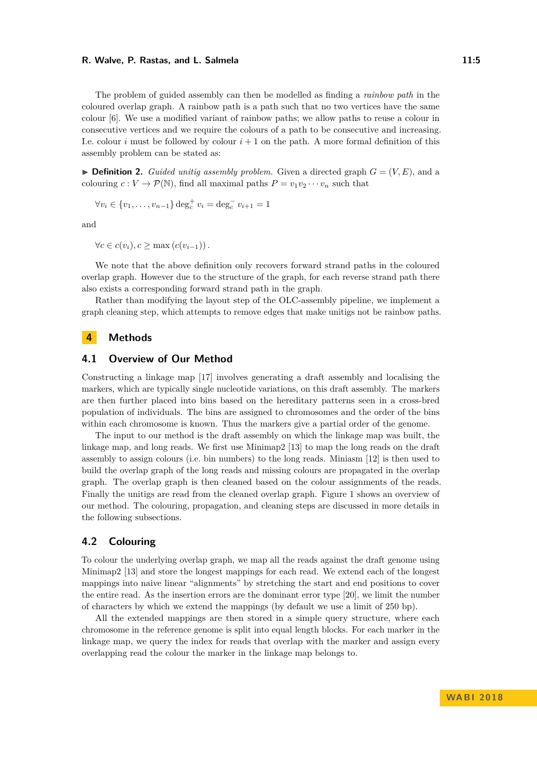#### **R. Walve, P. Rastas, and L. Salmela 11:5**

The problem of guided assembly can then be modelled as finding a *rainbow path* in the coloured overlap graph. A rainbow path is a path such that no two vertices have the same colour [\[6\]](#page-10-16). We use a modified variant of rainbow paths; we allow paths to reuse a colour in consecutive vertices and we require the colours of a path to be consecutive and increasing. I.e. colour *i* must be followed by colour  $i + 1$  on the path. A more formal definition of this assembly problem can be stated as:

 $\triangleright$  **Definition 2.** *Guided unitig assembly problem.* Given a directed graph  $G = (V, E)$ , and a colouring  $c: V \to \mathcal{P}(\mathbb{N})$ , find all maximal paths  $P = v_1v_2 \cdots v_n$  such that

$$
\forall v_i \in \{v_1, \dots, v_{n-1}\} \deg_c^+ v_i = \deg_c^- v_{i+1} = 1
$$

and

 $∀c ∈ c(v_i), c > max(c(v_{i-1}))$ .

We note that the above definition only recovers forward strand paths in the coloured overlap graph. However due to the structure of the graph, for each reverse strand path there also exists a corresponding forward strand path in the graph.

Rather than modifying the layout step of the OLC-assembly pipeline, we implement a graph cleaning step, which attempts to remove edges that make unitigs not be rainbow paths.

# **4 Methods**

# **4.1 Overview of Our Method**

Constructing a linkage map [\[17\]](#page-10-2) involves generating a draft assembly and localising the markers, which are typically single nucleotide variations, on this draft assembly. The markers are then further placed into bins based on the hereditary patterns seen in a cross-bred population of individuals. The bins are assigned to chromosomes and the order of the bins within each chromosome is known. Thus the markers give a partial order of the genome.

The input to our method is the draft assembly on which the linkage map was built, the linkage map, and long reads. We first use Minimap2 [\[13\]](#page-10-17) to map the long reads on the draft assembly to assign colours (i.e. bin numbers) to the long reads. Miniasm [\[12\]](#page-10-1) is then used to build the overlap graph of the long reads and missing colours are propagated in the overlap graph. The overlap graph is then cleaned based on the colour assignments of the reads. Finally the unitigs are read from the cleaned overlap graph. Figure [1](#page-5-0) shows an overview of our method. The colouring, propagation, and cleaning steps are discussed in more details in the following subsections.

# **4.2 Colouring**

To colour the underlying overlap graph, we map all the reads against the draft genome using Minimap2 [\[13\]](#page-10-17) and store the longest mappings for each read. We extend each of the longest mappings into naive linear "alignments" by stretching the start and end positions to cover the entire read. As the insertion errors are the dominant error type [\[20\]](#page-10-18), we limit the number of characters by which we extend the mappings (by default we use a limit of 250 bp).

All the extended mappings are then stored in a simple query structure, where each chromosome in the reference genome is split into equal length blocks. For each marker in the linkage map, we query the index for reads that overlap with the marker and assign every overlapping read the colour the marker in the linkage map belongs to.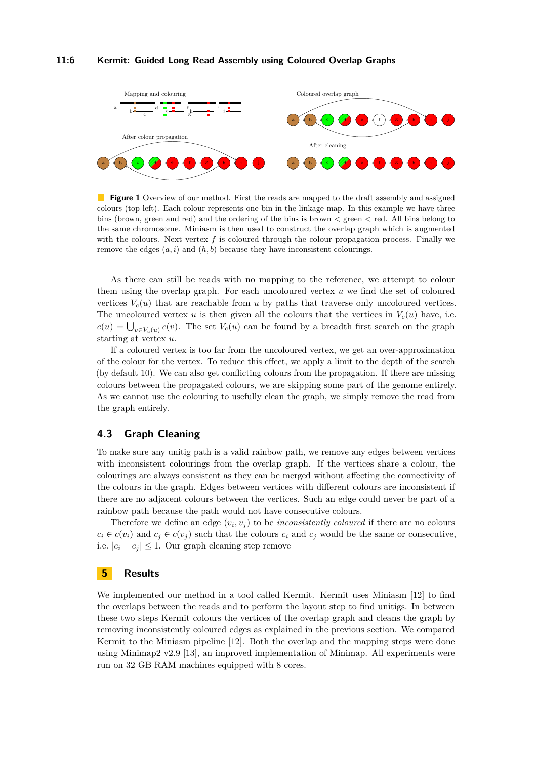#### **11:6 Kermit: Guided Long Read Assembly using Coloured Overlap Graphs**

<span id="page-5-0"></span>

**Figure 1** Overview of our method. First the reads are mapped to the draft assembly and assigned colours (top left). Each colour represents one bin in the linkage map. In this example we have three bins (brown, green and red) and the ordering of the bins is brown *<* green *<* red. All bins belong to the same chromosome. Miniasm is then used to construct the overlap graph which is augmented with the colours. Next vertex  $f$  is coloured through the colour propagation process. Finally we remove the edges  $(a, i)$  and  $(h, b)$  because they have inconsistent colourings.

As there can still be reads with no mapping to the reference, we attempt to colour them using the overlap graph. For each uncoloured vertex *u* we find the set of coloured vertices  $V_c(u)$  that are reachable from *u* by paths that traverse only uncoloured vertices. The uncoloured vertex *u* is then given all the colours that the vertices in  $V_c(u)$  have, i.e.  $c(u) = \bigcup_{v \in V_c(u)} c(v)$ . The set  $V_c(u)$  can be found by a breadth first search on the graph starting at vertex *u*.

If a coloured vertex is too far from the uncoloured vertex, we get an over-approximation of the colour for the vertex. To reduce this effect, we apply a limit to the depth of the search (by default 10). We can also get conflicting colours from the propagation. If there are missing colours between the propagated colours, we are skipping some part of the genome entirely. As we cannot use the colouring to usefully clean the graph, we simply remove the read from the graph entirely.

# **4.3 Graph Cleaning**

To make sure any unitig path is a valid rainbow path, we remove any edges between vertices with inconsistent colourings from the overlap graph. If the vertices share a colour, the colourings are always consistent as they can be merged without affecting the connectivity of the colours in the graph. Edges between vertices with different colours are inconsistent if there are no adjacent colours between the vertices. Such an edge could never be part of a rainbow path because the path would not have consecutive colours.

Therefore we define an edge  $(v_i, v_j)$  to be *inconsistently coloured* if there are no colours  $c_i \in c(v_i)$  and  $c_j \in c(v_j)$  such that the colours  $c_i$  and  $c_j$  would be the same or consecutive, i.e.  $|c_i - c_j| \leq 1$ . Our graph cleaning step remove

# **5 Results**

We implemented our method in a tool called Kermit. Kermit uses Miniasm [\[12\]](#page-10-1) to find the overlaps between the reads and to perform the layout step to find unitigs. In between these two steps Kermit colours the vertices of the overlap graph and cleans the graph by removing inconsistently coloured edges as explained in the previous section. We compared Kermit to the Miniasm pipeline [\[12\]](#page-10-1). Both the overlap and the mapping steps were done using Minimap2 v2.9 [\[13\]](#page-10-17), an improved implementation of Minimap. All experiments were run on 32 GB RAM machines equipped with 8 cores.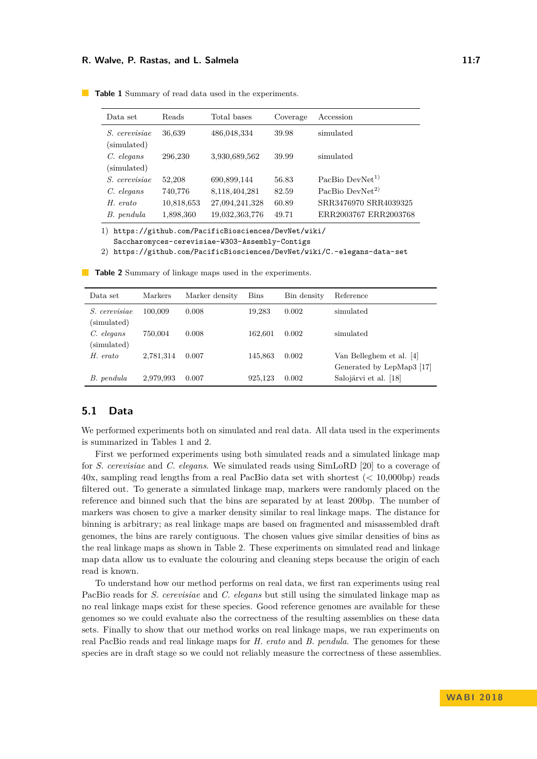#### **R. Walve, P. Rastas, and L. Salmela 11:7** and 11:7

| Data set             | Reads      | Total bases    | Coverage | Accession                   |
|----------------------|------------|----------------|----------|-----------------------------|
| <i>S.</i> cerevisiae | 36,639     | 486,048,334    | 39.98    | simulated                   |
| (simulated)          |            |                |          |                             |
| $C.$ elegans         | 296,230    | 3,930,689,562  | 39.99    | simulated                   |
| (simulated)          |            |                |          |                             |
| <i>S.</i> cerevisiae | 52,208     | 690,899,144    | 56.83    | PacBio DevNet <sup>1)</sup> |
| $C.$ elegans         | 740,776    | 8,118,404,281  | 82.59    | PacBio DevNet <sup>2)</sup> |
| H. erato             | 10,818,653 | 27,094,241,328 | 60.89    | SRR3476970 SRR4039325       |
| B. pendula           | 1,898,360  | 19,032,363,776 | 49.71    | ERR2003767 ERR2003768       |

<span id="page-6-0"></span>**Table 1** Summary of read data used in the experiments.

1) [https://github.com/PacificBiosciences/DevNet/wiki/](https://github.com/PacificBiosciences/DevNet/wiki/Saccharomyces-cerevisiae-W303-Assembly-Contigs)

[Saccharomyces-cerevisiae-W303-Assembly-Contigs](https://github.com/PacificBiosciences/DevNet/wiki/Saccharomyces-cerevisiae-W303-Assembly-Contigs)

2) <https://github.com/PacificBiosciences/DevNet/wiki/C.-elegans-data-set>

| Data set                            | Markers   | Marker density | Bins    | Bin density | Reference                                             |
|-------------------------------------|-----------|----------------|---------|-------------|-------------------------------------------------------|
| <i>S.</i> cerevisiae<br>(simulated) | 100,009   | 0.008          | 19,283  | 0.002       | simulated                                             |
| C. elegans<br>(simulated)           | 750,004   | 0.008          | 162.601 | 0.002       | simulated                                             |
| H. erato                            | 2,781,314 | 0.007          | 145.863 | 0.002       | Van Belleghem et al. [4]<br>Generated by LepMap3 [17] |
| B. pendula                          | 2,979,993 | 0.007          | 925.123 | 0.002       | Salojärvi et al. [18]                                 |

<span id="page-6-1"></span>**Table 2** Summary of linkage maps used in the experiments.

# **5.1 Data**

We performed experiments both on simulated and real data. All data used in the experiments is summarized in Tables [1](#page-6-0) and [2.](#page-6-1)

First we performed experiments using both simulated reads and a simulated linkage map for *S. cerevisiae* and *C. elegans*. We simulated reads using SimLoRD [\[20\]](#page-10-18) to a coverage of 40x, sampling read lengths from a real PacBio data set with shortest (< 10,000bp) reads filtered out. To generate a simulated linkage map, markers were randomly placed on the reference and binned such that the bins are separated by at least 200bp. The number of markers was chosen to give a marker density similar to real linkage maps. The distance for binning is arbitrary; as real linkage maps are based on fragmented and misassembled draft genomes, the bins are rarely contiguous. The chosen values give similar densities of bins as the real linkage maps as shown in Table [2.](#page-6-1) These experiments on simulated read and linkage map data allow us to evaluate the colouring and cleaning steps because the origin of each read is known.

To understand how our method performs on real data, we first ran experiments using real PacBio reads for *S. cerevisiae* and *C. elegans* but still using the simulated linkage map as no real linkage maps exist for these species. Good reference genomes are available for these genomes so we could evaluate also the correctness of the resulting assemblies on these data sets. Finally to show that our method works on real linkage maps, we ran experiments on real PacBio reads and real linkage maps for *H. erato* and *B. pendula*. The genomes for these species are in draft stage so we could not reliably measure the correctness of these assemblies.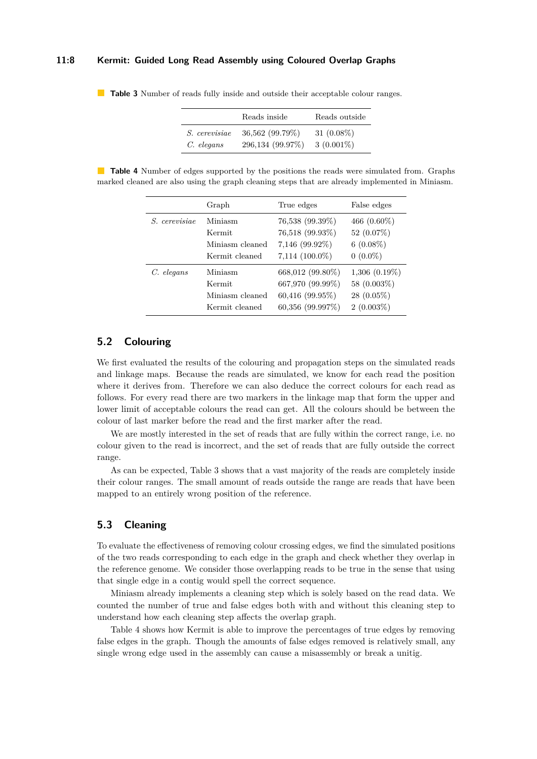#### **11:8 Kermit: Guided Long Read Assembly using Coloured Overlap Graphs**

|                      | Reads inside     | Reads outside |
|----------------------|------------------|---------------|
| <i>S.</i> cerevisiae | 36,562 (99.79%)  | 31 $(0.08\%)$ |
| C. elegans           | 296,134 (99.97%) | $3(0.001\%)$  |

<span id="page-7-0"></span>**Table 3** Number of reads fully inside and outside their acceptable colour ranges.

<span id="page-7-1"></span>**Table 4** Number of edges supported by the positions the reads were simulated from. Graphs marked cleaned are also using the graph cleaning steps that are already implemented in Miniasm.

|                      | Graph           | True edges          | False edges        |
|----------------------|-----------------|---------------------|--------------------|
| <i>S. cerevisiae</i> | Miniasm         | 76,538 (99.39%)     | 466 $(0.60\%)$     |
|                      | Kermit          | 76,518 (99.93%)     | 52 $(0.07\%)$      |
|                      | Miniasm cleaned | $7,146$ (99.92%)    | $6(0.08\%)$        |
|                      | Kermit cleaned  | $7,114$ $(100.0\%)$ | $0(0.0\%)$         |
| $C.$ elegans         | Miniasm         | 668,012 (99.80%)    | $1,306$ $(0.19\%)$ |
|                      | Kermit          | 667,970 (99.99%)    | 58 (0.003%)        |
|                      | Miniasm cleaned | $60,416$ (99.95%)   | $28(0.05\%)$       |
|                      | Kermit cleaned  | $60,356$ (99.997\%) | $2(0.003\%)$       |

# **5.2 Colouring**

We first evaluated the results of the colouring and propagation steps on the simulated reads and linkage maps. Because the reads are simulated, we know for each read the position where it derives from. Therefore we can also deduce the correct colours for each read as follows. For every read there are two markers in the linkage map that form the upper and lower limit of acceptable colours the read can get. All the colours should be between the colour of last marker before the read and the first marker after the read.

We are mostly interested in the set of reads that are fully within the correct range, i.e. no colour given to the read is incorrect, and the set of reads that are fully outside the correct range.

As can be expected, Table [3](#page-7-0) shows that a vast majority of the reads are completely inside their colour ranges. The small amount of reads outside the range are reads that have been mapped to an entirely wrong position of the reference.

# **5.3 Cleaning**

To evaluate the effectiveness of removing colour crossing edges, we find the simulated positions of the two reads corresponding to each edge in the graph and check whether they overlap in the reference genome. We consider those overlapping reads to be true in the sense that using that single edge in a contig would spell the correct sequence.

Miniasm already implements a cleaning step which is solely based on the read data. We counted the number of true and false edges both with and without this cleaning step to understand how each cleaning step affects the overlap graph.

Table [4](#page-7-1) shows how Kermit is able to improve the percentages of true edges by removing false edges in the graph. Though the amounts of false edges removed is relatively small, any single wrong edge used in the assembly can cause a misassembly or break a unitig.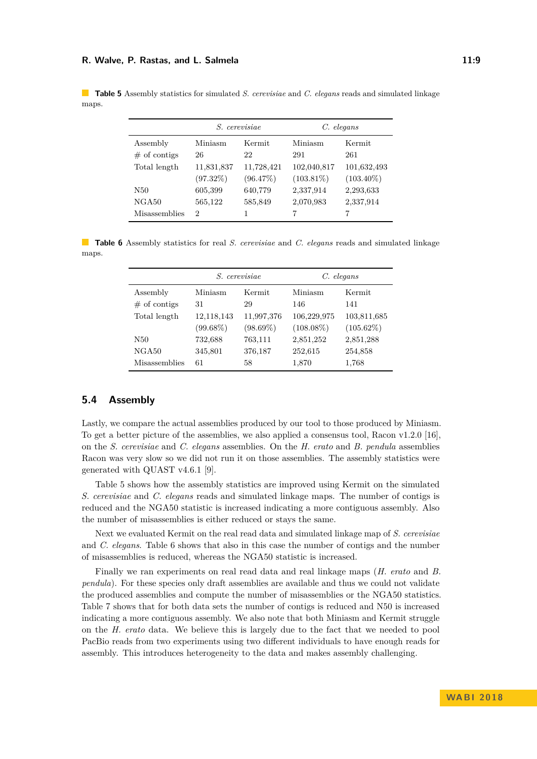#### **R. Walve, P. Rastas, and L. Salmela 11:9**

|                | <i>S.</i> cerevisiae |            | C. elegans   |              |
|----------------|----------------------|------------|--------------|--------------|
| Assembly       | Miniasm              | Kermit     | Miniasm      | Kermit       |
| $#$ of contigs | 26                   | 22         | 291          | 261          |
| Total length   | 11,831,837           | 11,728,421 | 102,040,817  | 101,632,493  |
|                | (97.32%)             | (96.47%)   | $(103.81\%)$ | $(103.40\%)$ |
| N50            | 605,399              | 640,779    | 2,337,914    | 2,293,633    |
| NGA50          | 565,122              | 585,849    | 2,070,983    | 2,337,914    |

<span id="page-8-0"></span>**Table 5** Assembly statistics for simulated *S. cerevisiae* and *C. elegans* reads and simulated linkage maps.

<span id="page-8-1"></span>**Table 6** Assembly statistics for real *S. cerevisiae* and *C. elegans* reads and simulated linkage maps.

Misassemblies 2 1 7 7 7

|                      |                   | <i>S.</i> cerevisiae | $C.$ elegans |              |  |
|----------------------|-------------------|----------------------|--------------|--------------|--|
| Assembly             | Kermit<br>Miniasm |                      | Miniasm      | Kermit       |  |
| $#$ of contigs       | 31<br>29          |                      | 146          | 141          |  |
| Total length         | 12,118,143        | 11,997,376           | 106,229,975  | 103,811,685  |  |
|                      | $(99.68\%)$       | $(98.69\%)$          | $(108.08\%)$ | $(105.62\%)$ |  |
| N50                  | 732,688           | 763,111              | 2,851,252    | 2,851,288    |  |
| NGA50                | 345,801           | 376,187              | 252,615      | 254,858      |  |
| <b>Misassemblies</b> | 61                | 58                   | 1,870        | 1,768        |  |

# **5.4 Assembly**

Lastly, we compare the actual assemblies produced by our tool to those produced by Miniasm. To get a better picture of the assemblies, we also applied a consensus tool, Racon v1.2.0 [\[16\]](#page-10-19), on the *S. cerevisiae* and *C. elegans* assemblies. On the *H. erato* and *B. pendula* assemblies Racon was very slow so we did not run it on those assemblies. The assembly statistics were generated with QUAST v4.6.1 [\[9\]](#page-10-20).

Table [5](#page-8-0) shows how the assembly statistics are improved using Kermit on the simulated *S. cerevisiae* and *C. elegans* reads and simulated linkage maps. The number of contigs is reduced and the NGA50 statistic is increased indicating a more contiguous assembly. Also the number of misassemblies is either reduced or stays the same.

Next we evaluated Kermit on the real read data and simulated linkage map of *S. cerevisiae* and *C. elegans*. Table [6](#page-8-1) shows that also in this case the number of contigs and the number of misassemblies is reduced, whereas the NGA50 statistic is increased.

Finally we ran experiments on real read data and real linkage maps (*H. erato* and *B. pendula*). For these species only draft assemblies are available and thus we could not validate the produced assemblies and compute the number of misassemblies or the NGA50 statistics. Table [7](#page-9-0) shows that for both data sets the number of contigs is reduced and N50 is increased indicating a more contiguous assembly. We also note that both Miniasm and Kermit struggle on the *H. erato* data. We believe this is largely due to the fact that we needed to pool PacBio reads from two experiments using two different individuals to have enough reads for assembly. This introduces heterogeneity to the data and makes assembly challenging.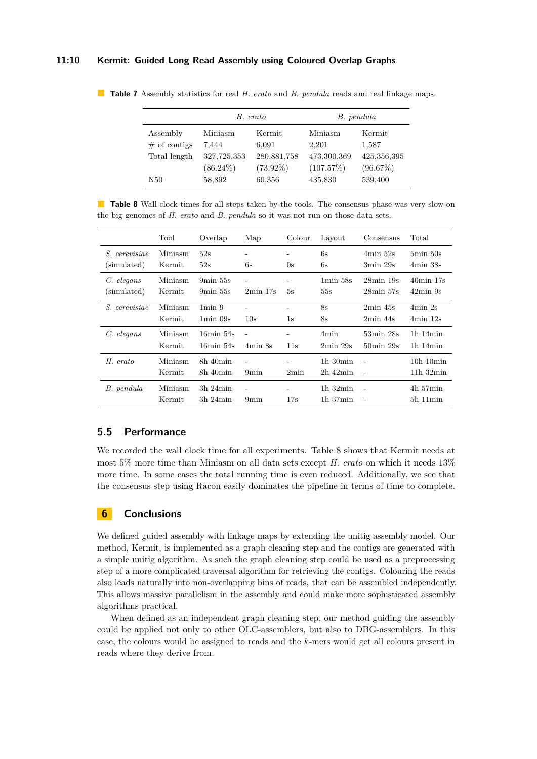#### **11:10 Kermit: Guided Long Read Assembly using Coloured Overlap Graphs**

|                 |                            | H. erato    | B. pendula  |             |  |
|-----------------|----------------------------|-------------|-------------|-------------|--|
| Assembly        | Miniasm<br>Kermit          |             | Miniasm     | Kermit      |  |
| $\#$ of contigs | 7.444                      | 6,091       | 2.201       | 1,587       |  |
| Total length    | 327,725,353                | 280,881,758 | 473,300,369 | 425,356,395 |  |
|                 | $(73.92\%)$<br>$(86.24\%)$ |             | (107.57%)   | (96.67%)    |  |
| N50             | 58,892                     | 60,356      | 435,830     | 539,400     |  |

<span id="page-9-0"></span>**Table 7** Assembly statistics for real *H. erato* and *B. pendula* reads and real linkage maps.

<span id="page-9-1"></span>**Table 8** Wall clock times for all steps taken by the tools. The consensus phase was very slow on the big genomes of *H. erato* and *B. pendula* so it was not run on those data sets.

|                                     | Tool              | Overlap                                            | Map                                 | Colour   | Layout                          | Consensus                                                | Total                                        |
|-------------------------------------|-------------------|----------------------------------------------------|-------------------------------------|----------|---------------------------------|----------------------------------------------------------|----------------------------------------------|
| <i>S.</i> cerevisiae<br>(simulated) | Miniasm<br>Kermit | 52s<br>52s                                         | -<br>6s                             | 0s       | 6s<br>6s                        | $4min\ 52s$<br>$3\text{min}$ 29s                         | $5\text{min}50\text{s}$<br>$4\text{min}$ 38s |
| C. elegans<br>simulated)            | Miniasm<br>Kermit | $9\text{min}55\text{s}$<br>$9\text{min}55\text{s}$ | L<br>$2min$ 17s                     | 5s       | $1\text{min}58\text{s}$<br>55s  | $28\text{min}$ 19 $\text{s}$<br>$28\text{min}57\text{s}$ | 40min 17s<br>$42\text{min}$ 9s               |
| <i>S.</i> cerevisiae                | Miniasm<br>Kermit | $1\text{min}9$<br>$1\text{min}$ 09s                | 10s                                 | 1s       | 8s<br>8s                        | $2min$ 45s<br>$2min$ 44s                                 | $4min$ 2s<br>$4min$ 12s                      |
| C. elegans                          | Miniasm<br>Kermit | $16min$ 54s<br>16min 54s                           | $\overline{\phantom{a}}$<br>4min 8s | ۰<br>11s | 4 <sub>min</sub><br>$2min\ 29s$ | 53min 28s<br>$50\text{min}$ 29s                          | $1h$ $14min$<br>$1h$ $14min$                 |
| H. erato                            | Miniasm<br>Kermit | $8h\ 40min$<br>$8h$ 40 $min$                       | ۰<br>9 <sub>min</sub>               | 2min     | $1h$ 30 $min$<br>$2h$ 42 $min$  | $\overline{a}$                                           | $10h$ $10min$<br>$11h$ $32min$               |
| B. pendula                          | Miniasm<br>Kermit | $3h$ $24min$<br>$3h$ $24min$                       | 9 <sub>min</sub>                    | 17s      | $1h$ 32 $min$<br>$1h$ 37 $min$  | $\overline{a}$<br>$\overline{\phantom{m}}$               | $4h\,57min$<br>$5h$ 11 $min$                 |

# **5.5 Performance**

We recorded the wall clock time for all experiments. Table [8](#page-9-1) shows that Kermit needs at most 5% more time than Miniasm on all data sets except *H. erato* on which it needs 13% more time. In some cases the total running time is even reduced. Additionally, we see that the consensus step using Racon easily dominates the pipeline in terms of time to complete.

# **6 Conclusions**

We defined guided assembly with linkage maps by extending the unitig assembly model. Our method, Kermit, is implemented as a graph cleaning step and the contigs are generated with a simple unitig algorithm. As such the graph cleaning step could be used as a preprocessing step of a more complicated traversal algorithm for retrieving the contigs. Colouring the reads also leads naturally into non-overlapping bins of reads, that can be assembled independently. This allows massive parallelism in the assembly and could make more sophisticated assembly algorithms practical.

When defined as an independent graph cleaning step, our method guiding the assembly could be applied not only to other OLC-assemblers, but also to DBG-assemblers. In this case, the colours would be assigned to reads and the *k*-mers would get all colours present in reads where they derive from.